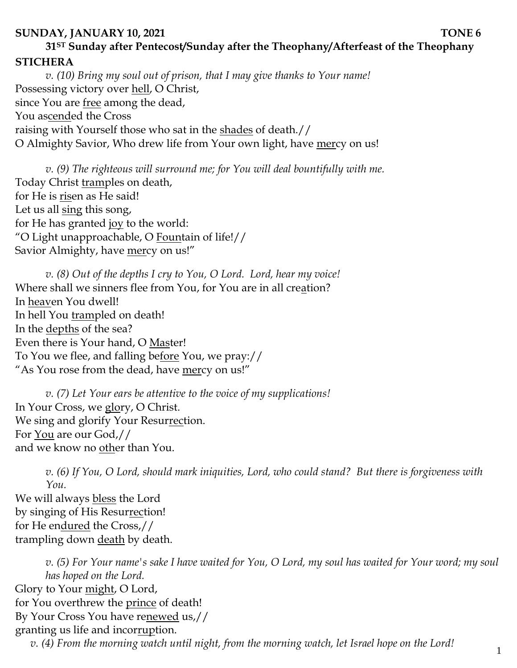## **SUNDAY, JANUARY 10, 2021 TONE 6 31ST Sunday after Pentecost/Sunday after the Theophany/Afterfeast of the Theophany STICHERA**

*v. (10) Bring my soul out of prison, that I may give thanks to Your name!*  Possessing victory over hell, O Christ, since You are free among the dead, You ascended the Cross raising with Yourself those who sat in the shades of death.// O Almighty Savior, Who drew life from Your own light, have mercy on us!

*v. (9) The righteous will surround me; for You will deal bountifully with me.*  Today Christ tramples on death, for He is risen as He said! Let us all sing this song, for He has granted joy to the world: "O Light unapproachable, O Fountain of life!// Savior Almighty, have mercy on us!"

*v. (8) Out of the depths I cry to You, O Lord. Lord, hear my voice!* Where shall we sinners flee from You, for You are in all creation? In heaven You dwell! In hell You trampled on death! In the depths of the sea? Even there is Your hand, O Master! To You we flee, and falling before You, we pray:// "As You rose from the dead, have mercy on us!"

*v. (7) Let Your ears be attentive to the voice of my supplications!* In Your Cross, we glory, O Christ. We sing and glorify Your Resurrection. For You are our God,// and we know no other than You.

*v. (6) If You, O Lord, should mark iniquities, Lord, who could stand? But there is forgiveness with You.* 

We will always bless the Lord by singing of His Resurrection! for He endured the Cross,// trampling down death by death.

*v. (5) For Your name's sake I have waited for You, O Lord, my soul has waited for Your word; my soul has hoped on the Lord.* Glory to Your might, O Lord, for You overthrew the prince of death! By Your Cross You have renewed us,// granting us life and incorruption. *v. (4) From the morning watch until night, from the morning watch, let Israel hope on the Lord!*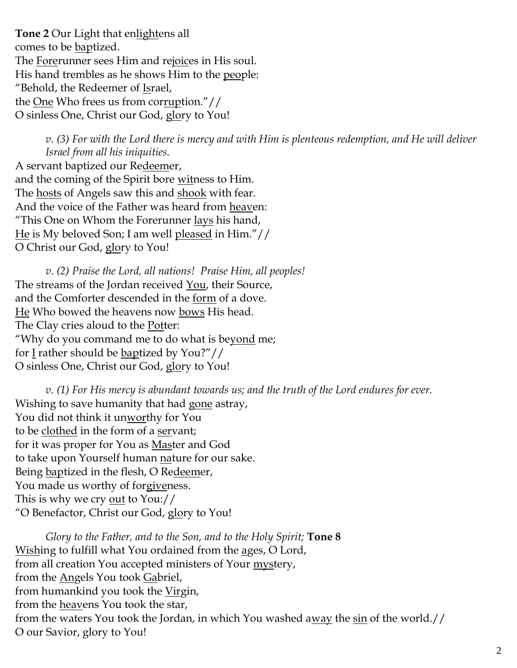**Tone 2** Our Light that enlightens all comes to be baptized. The Forerunner sees Him and rejoices in His soul. His hand trembles as he shows Him to the people: "Behold, the Redeemer of Israel, the One Who frees us from corruption."// O sinless One, Christ our God, glory to You!

> *v. (3) For with the Lord there is mercy and with Him is plenteous redemption, and He will deliver Israel from all his iniquities.*

A servant baptized our Redeemer, and the coming of the Spirit bore witness to Him. The hosts of Angels saw this and shook with fear. And the voice of the Father was heard from heaven: "This One on Whom the Forerunner lays his hand, He is My beloved Son; I am well pleased in Him."// O Christ our God, glory to You!

*v. (2) Praise the Lord, all nations! Praise Him, all peoples!* The streams of the Jordan received You, their Source, and the Comforter descended in the form of a dove. He Who bowed the heavens now bows His head. The Clay cries aloud to the **Potter**: "Why do you command me to do what is beyond me; for  $I$  rather should be baptized by You?"// O sinless One, Christ our God, glory to You!

*v. (1) For His mercy is abundant towards us; and the truth of the Lord endures for ever.*  Wishing to save humanity that had gone astray, You did not think it unworthy for You to be clothed in the form of a servant; for it was proper for You as Master and God to take upon Yourself human nature for our sake. Being baptized in the flesh, O Redeemer, You made us worthy of forgiveness. This is why we cry <u>out</u> to You:// "O Benefactor, Christ our God, glory to You!

*Glory to the Father, and to the Son, and to the Holy Spirit;* **Tone 8** Wishing to fulfill what You ordained from the ages, O Lord, from all creation You accepted ministers of Your mystery, from the Angels You took Gabriel, from humankind you took the Virgin, from the heavens You took the star, from the waters You took the Jordan, in which You washed away the sin of the world.// O our Savior, glory to You!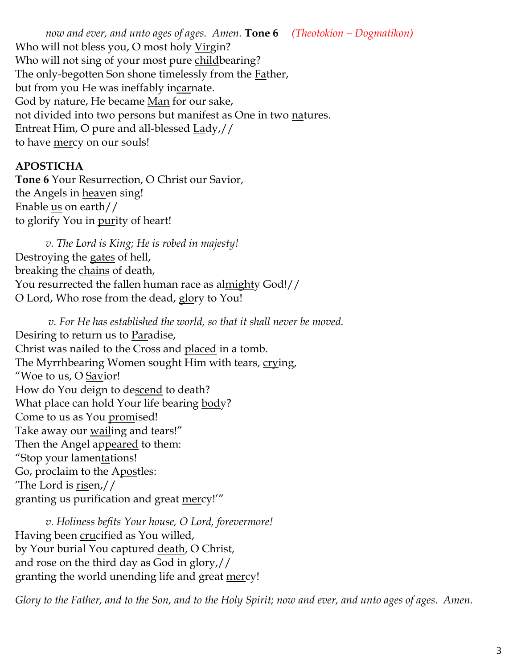*now and ever, and unto ages of ages. Amen.* **Tone 6** *(Theotokion – Dogmatikon)* Who will not bless you, O most holy Virgin? Who will not sing of your most pure childbearing? The only-begotten Son shone timelessly from the **Father**, but from you He was ineffably incarnate. God by nature, He became Man for our sake, not divided into two persons but manifest as One in two natures. Entreat Him, O pure and all-blessed Lady,// to have <u>mer</u>cy on our souls!

## **APOSTICHA**

**Tone 6** Your Resurrection, O Christ our Savior, the Angels in **heaven** sing! Enable us on earth// to glorify You in purity of heart!

*v. The Lord is King; He is robed in majesty!*  Destroying the gates of hell, breaking the chains of death, You resurrected the fallen human race as almighty God!// O Lord, Who rose from the dead, glory to You!

*v. For He has established the world, so that it shall never be moved.* Desiring to return us to Paradise, Christ was nailed to the Cross and placed in a tomb. The Myrrhbearing Women sought Him with tears, crying, "Woe to us, O Savior! How do You deign to descend to death? What place can hold Your life bearing body? Come to us as You promised! Take away our wailing and tears!" Then the Angel appeared to them: "Stop your lamentations! Go, proclaim to the Apostles: 'The Lord is risen,// granting us purification and great mercy!'"

*v. Holiness befits Your house, O Lord, forevermore!*  Having been crucified as You willed, by Your burial You captured <u>death</u>, O Christ, and rose on the third day as God in glory,// granting the world unending life and great mercy!

*Glory to the Father, and to the Son, and to the Holy Spirit; now and ever, and unto ages of ages. Amen.*